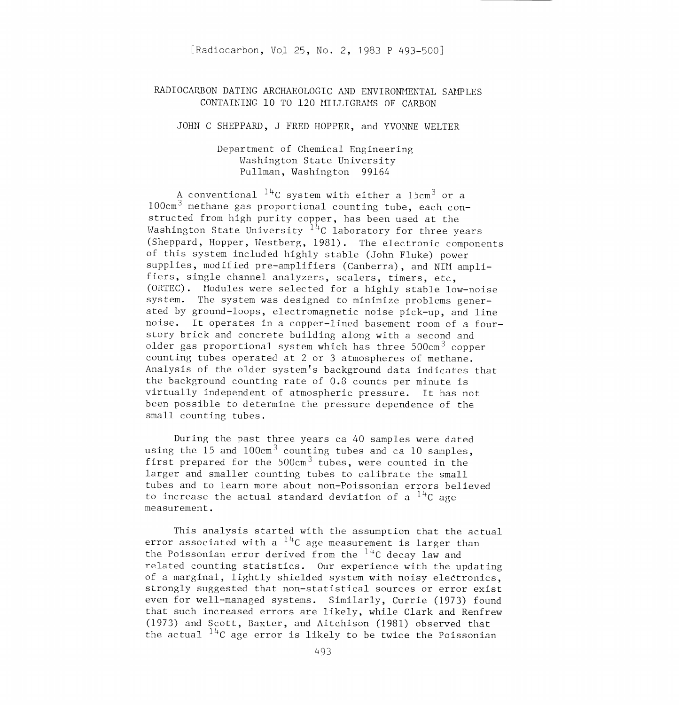# RADIOCARBON DATING ARCHAEOLOGIC AND ENVIRONMENTAL SAIPLES CONTAINING 10 TO 120 NILLIGRMIS OF CARBON

#### JOHN C SHEPPARD, J FRED HOPPER, and YVONNE WELTER

# Department of Chemical Engineering Washington State University Pullman, Washington 99164

A conventional  $14C$  system with either a 15cm<sup>3</sup> or a  $100 \text{cm}^3$  methane gas proportional counting tube, each constructed from high purity copper, has been used at the Washington State University  $14c$  laboratory for three years (Sheppard, Hopper, Westberg, 1981). The electronic components of this system included highly stable (John Fluke) power supplies, modified pre-amplifiers (Canberra), and NIM amplifiers, single channel analyzers, sealers, timers, etc, (ORTEC). Nodules were selected for a highly stable low-noise system. The system was designed to minimize problems generated by ground-loops, electromagnetic noise pick-up, and line noise. It operates in a copper-lined basement room of a fourstory brick and concrete building along with a second and older gas proportional system which has three  $500 \text{cm}^3$  copper counting tubes operated at 2 or 3 atmospheres of methane. Analysis of the older system's background data indicates that the background counting rate of 0.3 counts per minute is virtually independent of atmospheric pressure. It has not been possible to determine the pressure dependence of the small counting tubes.

During the past three years ca 40 samples were dated using the 15 and  $100 \text{cm}^3$  counting tubes and ca 10 samples. first prepared for the  $500 \text{cm}^3$  tubes, were counted in the larger and smaller counting tubes to calibrate the small tubes and to learn more about non-Poissonian errors believed to increase the actual standard deviation of a  $14C$  age measurement.

This analysis started with the assumption that the actual error associated with a  $14C$  age measurement is larger than the Poissonian error derived from the  $14C$  decay law and related counting statistics. Our experience with the updating of a marginal, lightly shielded system with noisy electronics, strongly suggested that non-statistical sources or error exist even for well-managed systems. Similarly, Currie (1973) found that such increased errors are likely, while Clark and Renfrew (1973) and Scott, Baxter, and Aitchison (1981) observed that the actual  $14C$  age error is likely to be twice the Poissonian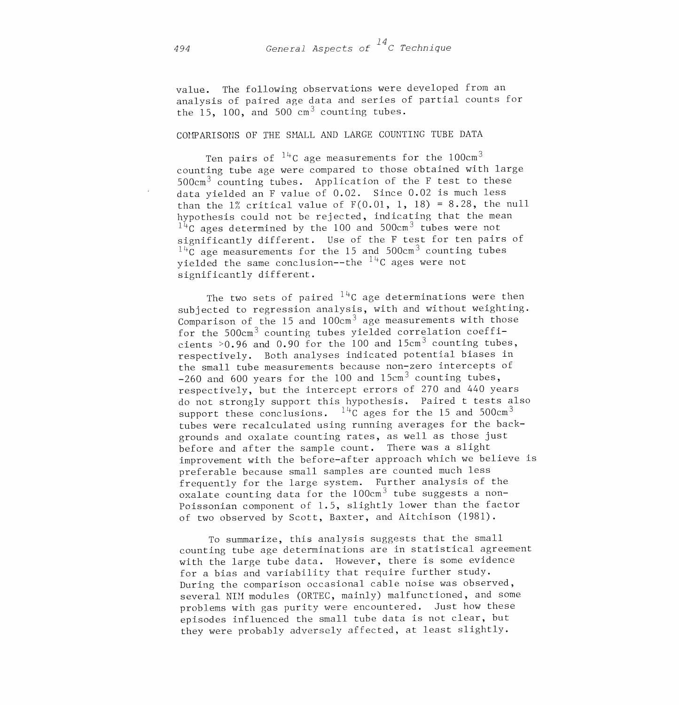value. The following observations were developed from an analysis of paired age data and series of partial counts for the 15, 100, and 500  $cm<sup>3</sup>$  counting tubes.

## COMPARISONS OF THE SHALL AND LARGE COUNTING TUBE DATA

Ten pairs of  $14^{\circ}$ C age measurements for the 100cm<sup>3</sup> counting tube age were compared to those obtained with large  $500 \text{cm}^3$  counting tubes. Application of the F test to these data yielded an F value of 0.02. Since 0.02 is much less than the  $1\%$  critical value of  $F(0.01, 1, 18) = 8.28$ , the null hypothesis could not be rejected, indicating that the mean  $14C$  ages determined by the 100 and 500cm<sup>3</sup> tubes were not significantly different. Use of the F test for ten pairs of  $14\degree$ C age measurements for the 15 and 500cm<sup>3</sup> counting tubes vielded the same conclusion--the  $14C$  ages were not significantly different.

The two sets of paired  $14C$  age determinations were then subjected to regression analysis, with and without weighting. Comparison of the 15 and  $100 \text{cm}^3$  age measurements with those for the 500cm3 counting tubes yielded correlation coefficients  $>0.96$  and 0.90 for the 100 and 15cm<sup>3</sup> counting tubes, respectively. Both analyses indicated potential biases in the small tube measurements because non-zero intercepts of  $-260$  and 600 years for the 100 and 15cm<sup>3</sup> counting tubes, respectively, but the intercept errors of 270 and 440 years do not strongly support this hypothesis. Paired t tests also support these conclusions.  $14C$  ages for the 15 and 500cm<sup>3</sup> tubes were recalculated using running averages for the backgrounds and oxalate counting rates, as well as those just before and after the sample count. There was a slight improvement with the before-after approach which we believe is preferable because small samples are counted much less frequently for the large system. Further analysis of the oxalate counting data for the  $100 \text{cm}^3$  tube suggests a non-Poissonian component of 1.5, slightly lower than the factor of two observed by Scott, Baxter, and Aitchison (1981).

To summarize, this analysis suggests that the small counting tube age determinations are in statistical agreement with the large tube data. However, there is some evidence for a bias and variability that require further study. During the comparison occasional cable noise was observed, several NIH modules (ORTEC, mainly) malfunctioned, and some problems with gas purity were encountered. Just how these episodes influenced the small tube data is not clear, but they were probably adversely affected, at least slightly.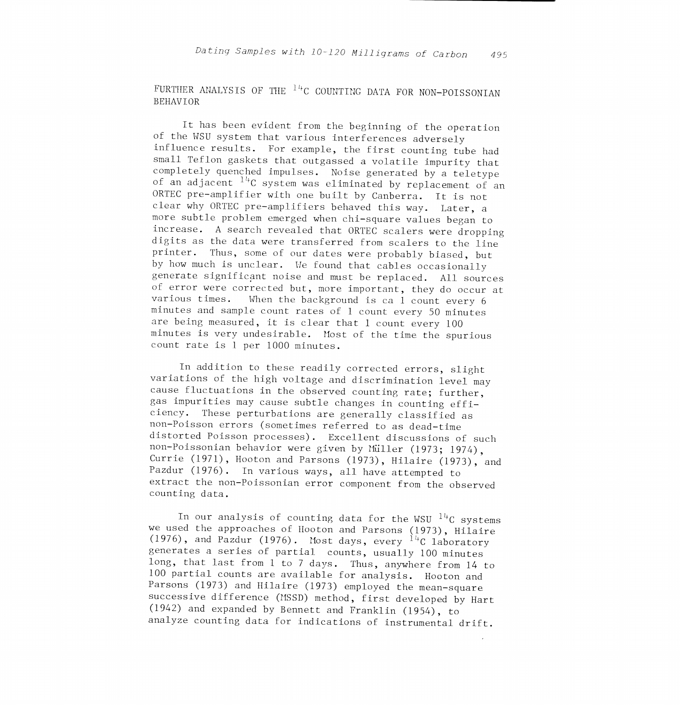FURTHER ANALYSIS OF THE  $14$ <sup>c</sup> Counting DATA FOR NON-POISSONIAN BEHAVIOR

It has been evident from the beginning of the operation of the WSU system that various interferences adversely influence results. For example, the first counting tube had small Teflon gaskets that outgassed a volatile impurity that completely quenched impulses. Noise generated by a teletype of an adjacent  $14C$  system was eliminated by replacement of an ORTEC pre-amplifier with one built by Canberra. It is not clear why ORTEC pre-amplifiers behaved this way. Later, a more subtle problem emerged when chi-square values began to increase. A search revealed that ORTEC scalers were dropping digits as the data were transferred from sealers to the line printer. Thus, some of our dates were probably biased, but by how much is unclear. We found that cables occasionally generate significant noise and must be replaced. All sources of error were corrected but, more important, they do occur at various times. When the background is ca  $1$  count every 6 minutes and sample count rates of 1 count every 50 minutes are being measured, it is clear that 1 count every 100 minutes is very undesirable. Host of the time the spurious count rate is 1 per 1000 minutes.

In addition to these readily corrected errors, slight variations of the high voltage and discrimination level may cause fluctuations in the observed counting rate; further, gas impurities may cause subtle changes in counting effinon-Poisson errors (sometimes referred to as dead-time distorted Poisson processes). Excellent discussions of such non-Poissonian behavior were given by Müller (1973; 1974). Currie (1971), Hooton and Parsons (1973), Hilaire (1973), and Pazdur (1976). In various ways, all have attempted to extract the non-Poissonian error component from the observed counting data.

In our analysis of counting data for the WSU  $14^{\circ}$ C systems we used the approaches of Hooton and Parsons (1973), Hilaire (1976), and Pazdur (1976). Most days, every  $14C$  laboratory generates a series of partial counts, usually 100 minutes<br>long, that last from 1 to 7 days. Thus, anywhere from 14 to 100 partial counts are available for analysis. Hooton and Parsons (1973) and Hilaire (1973) employed the mean-square successive difference (MSSD) method, first developed by Hart (1942) and expanded by Bennett and Franklin (1954), to analyze counting data for indications of instrumental drift.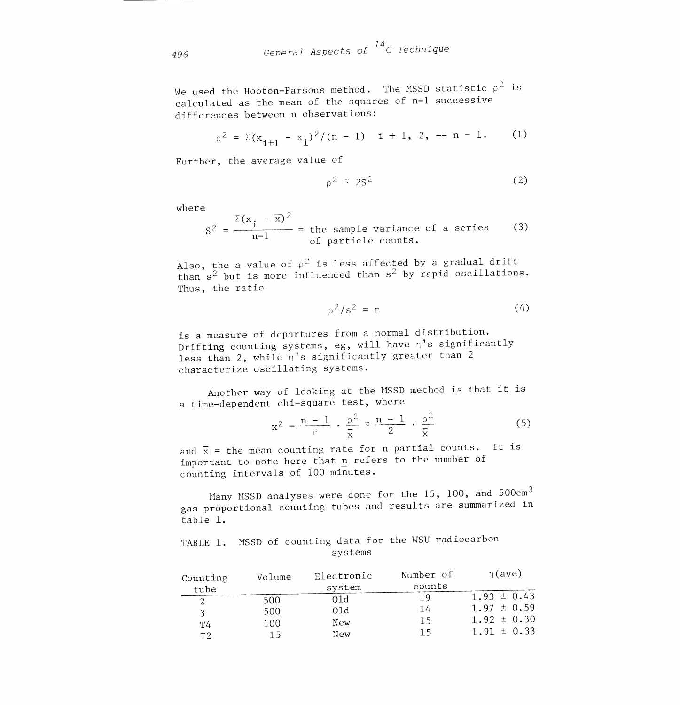We used the Hooton-Parsons method. The MSSD statistic  $\rho^2$  is calculated as the mean of the squares of n-1 successive differences between n observations:

$$
\rho^2 = \Sigma(x_{i+1} - x_i)^2 / (n-1) \quad i+1, 2, -n-1. \tag{1}
$$

Further, the average value of

$$
\rho^2 \approx 2S^2 \tag{2}
$$

where

$$
S^{2} = \frac{\sum (x_{i} - \overline{x})^{2}}{n-1}
$$
 = the sample variance of a series (3) of particle counts.

Also, the a value of  $\rho^2$  is less affected by a gradual drift than  $s^2$  but is more influenced than  $s^2$  by rapid oscillations. Thus, the ratio

$$
\rho^2 / s^2 = \eta \tag{4}
$$

is a measure of departures from a normal distribution. Drifting counting systems, eg, will have  $\eta'$ s significantly less than 2, while  $\eta$ 's significantly greater than 2 characterize oscillating systems.

Another way of looking at the MSSD method is that it is a time-dependent chi-square test, where

$$
x^{2} = \frac{n-1}{n} \cdot \frac{\rho^{2}}{\bar{x}} \approx \frac{n-1}{2} \cdot \frac{\rho^{2}}{\bar{x}}
$$
 (5)

and  $\bar{x}$  = the mean counting rate for n partial counts. It is important to note here that n refers to the number of counting intervals of 100 minutes.

Many MSSD analyses were done for the 15, 100, and 500cm<sup>3</sup> gas proportional counting tubes and results are summarized in table 1.

TABLE 1. MSSD of counting data for the WSU radiocarbon systems

| Counting<br>tube | Volume | Electronic<br>system | Number of<br>counts | n(ave)          |
|------------------|--------|----------------------|---------------------|-----------------|
|                  | 500    | 01d                  | 1 Q                 | $1.93 \pm 0.43$ |
|                  | 500    | 01d                  | 14                  | $1.97 \pm 0.59$ |
| Τ4               | 100    | New                  |                     | $1.92 \pm 0.30$ |
| T <sub>2</sub>   |        | New                  |                     | $1.91 \pm 0.33$ |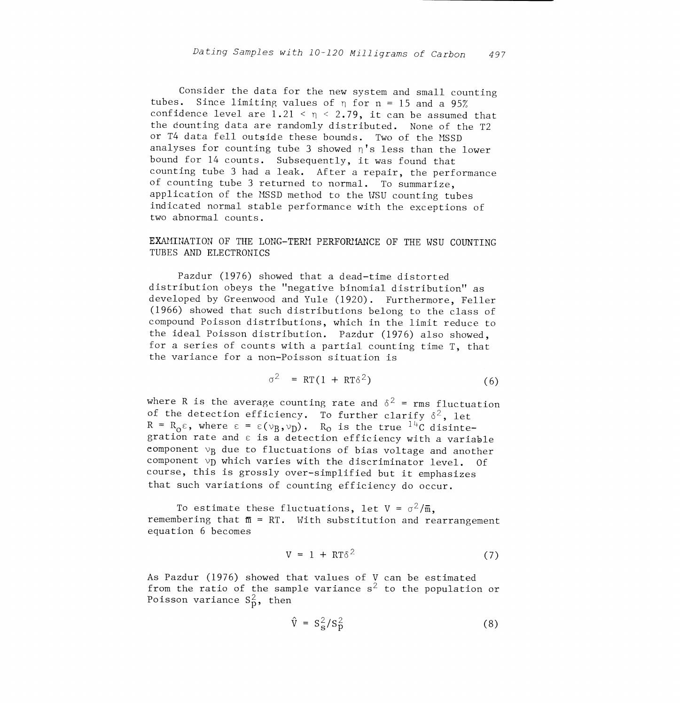Consider the data for the new system and small counting tubes. Since limiting values of  $n$  for  $n = 15$  and a 95% confidence level are  $1.21 \le n \le 2.79$ , it can be assumed that the dounting data are randomly distributed. None of the T2 or T4 data fell outside these bounds. Two of the MSSD analyses for counting tube 3 showed  $n's$  less than the lower bound for 14 counts. Subsequently, it was found that counting tube 3 had a leak. After a repair, the performance of counting tube 3 returned to normal. To summarize, application of the MSSD method to the USU counting tubes indicated normal stable performance with the exceptions of two abnormal counts.

## EXAMINATION OF THE LONG-TERM PERFORMANCE OF THE WSU COUNTING TUBES AND ELECTRONICS

Pazdur (1976) showed that a dead-time distorted distribution obeys the "negative binomial distribution" as developed by Greenwood and Yule (1920). Furthermore, Feller (1966) showed that such distributions belong to the class of compound Poisson distributions, which in the limit reduce to the ideal Poisson distribution. Pazdur (1976) also showed, for a series of counts with a partial counting time T, that the variance for a non-Poisson situation is

$$
\sigma^2 = RT(1 + RT\delta^2) \tag{6}
$$

where R is the average counting rate and  $\delta^2$  = rms fluctuation of the detection efficiency. To further clarify  $\delta^2$ , let  $R = R_0 \varepsilon$ , where  $\varepsilon = \varepsilon(v_B,v_D)$ .  $R_0$  is the true  $^{14}C$  disintegration rate and  $\varepsilon$  is a detection efficiency with a variable component  $v_R$  due to fluctuations of bias voltage and another component  $v_D$  which varies with the discriminator level. Of course, this is grossly over-simplified but it emphasizes that such variations of counting efficiency do occur.

To estimate these fluctuations, let  $V = \sigma^2 / \overline{m}$ . remembering that  $\bar{m} = RT$ . With substitution and rearrangement equation 6 becomes

$$
V = 1 + RT\delta^2 \tag{7}
$$

As Pazdur (1976) showed that values of V can be estimated from the ratio of the sample variance  $s^2$  to the population or Poisson variance  $S_p^2$ , then

$$
\hat{\mathbf{V}} = \mathbf{S}_{\mathbf{S}}^2 / \mathbf{S}_{\mathbf{p}}^2 \tag{8}
$$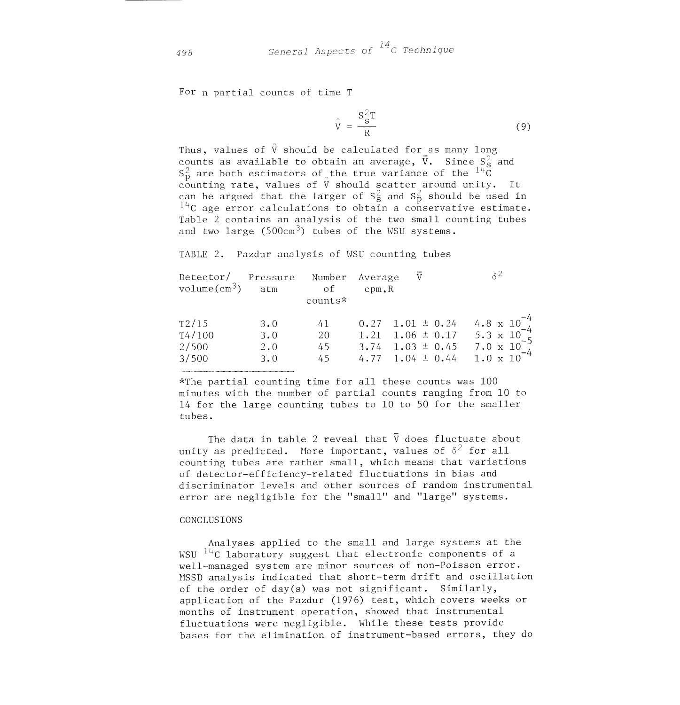For n partial counts of time T

$$
\hat{\mathbf{V}} = \frac{\mathbf{S}_{\mathbf{S}}^2 \mathbf{T}}{\mathbf{R}}
$$
 (9)

Thus, values of  $\hat{V}$  should be calculated for as many long counts as available to obtain an average,  $\overline{v}$ . Since  $S_5^2$  and  $\mathtt{S}_{\texttt{D}}^2$  are both estimators of the true variance of the  $^{14}$ C counting rate, values of V should scatter around unity. It can be argued that the larger of S $_{{\bf S}}^2$  and S $_{{\bf P}}^2$  should be used in  $14C$  age error calculations to obtain a conservative estimate. Table 2 contains an analysis of the two small counting tubes and two large  $(500 \text{cm}^3)$  tubes of the WSU systems.

TABLE 2. Pazdur analysis of WSU counting tubes

| Detector/<br>$volume(cm3)$ atm    | Pressure Number Average  | of<br>counts*        | cpm, R |                        | χ2                                                                                                                                 |  |
|-----------------------------------|--------------------------|----------------------|--------|------------------------|------------------------------------------------------------------------------------------------------------------------------------|--|
| T2/15<br>T4/100<br>2/500<br>3/500 | 3.0<br>3.0<br>2.0<br>3.0 | 41<br>20<br>45<br>45 |        | $3.74$ 1.03 $\pm$ 0.45 | 0.27 1.01 $\pm$ 0.24 4.8 x 10 $^{-4}$<br>1.21 1.06 ± 0.17 5.3 x $10^{-4}$<br>$7.0 \times 10^{-7}$<br>4.77 1.04 $\pm$ 0.44 1.0 x 10 |  |

\*The partial counting time for all these counts was 100 minutes with the number of partial counts ranging from 10 to 14 for the large counting tubes to 10 to 50 for the smaller tubes.

The data in table 2 reveal that  $\bar{V}$  does fluctuate about unity as predicted. More important, values of  $\delta^2$  for all counting tubes are rather small, which means that variations of detector-efficiency-related fluctuations in bias and discriminator levels and other sources of random instrumental error are negligible for the "small" and "large" systems.

### CONCLUSIONS

Analyses applied to the small and large systems at the WSU  $14^{\circ}$ C laboratory suggest that electronic components of a well-managed system are minor sources of non-Poisson error. NSSD analysis indicated that short-term drift and oscillation of the order of day(s) was not significant. Similarly, application of the Pazdur (1976) test, which covers weeks or months of instrument operation, showed that instrumental fluctuations were negligible. While these tests provide bases for the elimination of instrument-based errors, they do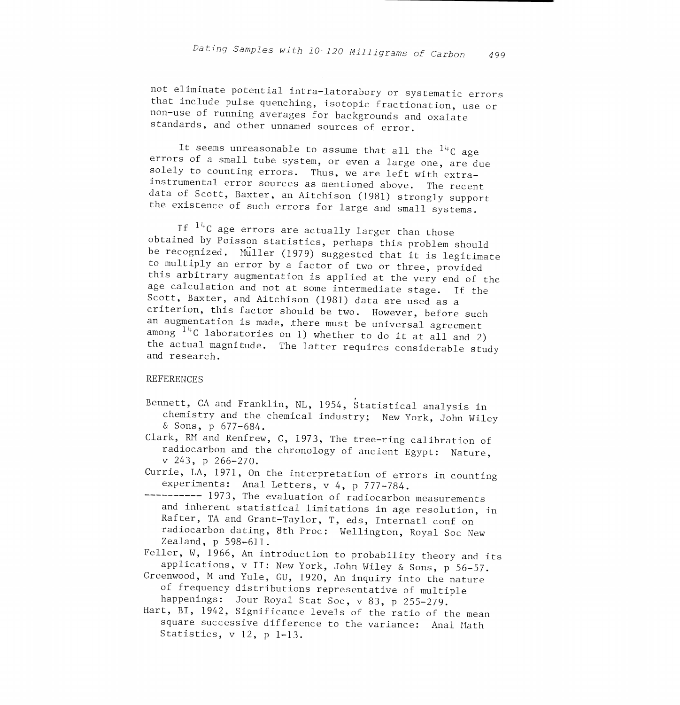not eliminate potential intra-latorabory or systematic errors<br>that include pulse quenching, isotopic fractionation, use or non-use of running averages for backgrounds and oxalate standards, and other unnamed sources of error.

It seems unreasonable to assume that all the  $14C$  age errors of a small tube system, or even a large one, are due solely to counting errors. Thus, we are left with extrainstrumental error sources as mentioned above. The recent data of Scott, Baxter, an Aitchison (1981) strongly support the existence of such errors for large and small systems.

If  $14^{\circ}$ C age errors are actually larger than those obtained by Poisson statistics, perhaps this problem should be recognized. Muller (1979) suggested that it is legitimate to multiply an error by a factor of two or three, provided this arbitrary augmentation is applied at the very end of the age calculation and not at some intermediate stage. If the Scott, Baxter, and Aitchison (1981) data are used as a criterion, this factor should be two. However, before such an augmentation is made, there must be universal agreement among  $1^{4}$ <sup>c</sup> laboratories on 1) whether to do it at all and 2) the actual magnitude. The latter requires considerable study and research.

#### REFERENCES

- Bennett, CA and Franklin, NL, 1954, Statistical analysis in chemistry and the chemical industry; New York, John Wiley & Sons, p 677-684.
- Clark, RN and Renfrew, C, 1973, The tree-ring calibration of radiocarbon and the chronology of ancient Egypt: Nature, v 243, p 266-270.
- Currie, LA, 1971, On the interpretation of errors in counting experiments: Anal Letters,  $v$  4, p 777-784.
- ---------- 1973, The evaluation of radiocarbon measurements and inherent statistical limitations in age resolution, in Rafter, TA and Grant-Taylor, T, eds, Internatl conf on radiocarbon dating, 8th Proc: Wellington, Royal Soc New Zealand, p 598-611.
- Feller, W, 1966, An introduction to probability theory and its applications, v II: New York, John Wiley & Sons, p 56-57.
- Greenwood, M and Yule, GU, 1920, An inquiry into the nature of frequency distributions representative of multiple happenings: Jour Royal Stat Soc, v 83, p 255-279.
- Hart, BI, 1942, Significance levels of the ratio of the mean square successive difference to the variance: Anal Math Statistics,  $v$  12, p 1-13.